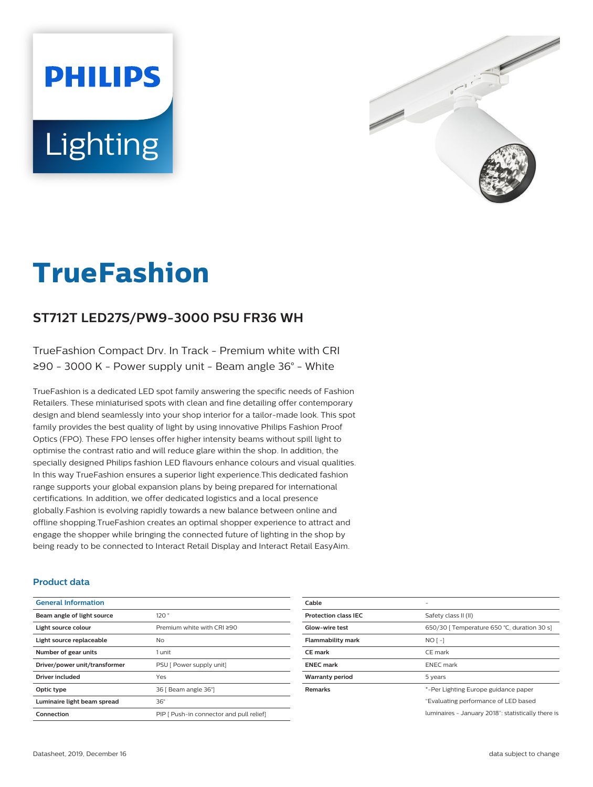# **PHILIPS** Lighting



# **TrueFashion**

# **ST712T LED27S/PW9-3000 PSU FR36 WH**

TrueFashion Compact Drv. In Track - Premium white with CRI ≥90 - 3000 K - Power supply unit - Beam angle 36° - White

TrueFashion is a dedicated LED spot family answering the specific needs of Fashion Retailers. These miniaturised spots with clean and fine detailing offer contemporary design and blend seamlessly into your shop interior for a tailor-made look. This spot family provides the best quality of light by using innovative Philips Fashion Proof Optics (FPO). These FPO lenses offer higher intensity beams without spill light to optimise the contrast ratio and will reduce glare within the shop. In addition, the specially designed Philips fashion LED flavours enhance colours and visual qualities. In this way TrueFashion ensures a superior light experience.This dedicated fashion range supports your global expansion plans by being prepared for international certifications. In addition, we offer dedicated logistics and a local presence globally.Fashion is evolving rapidly towards a new balance between online and offline shopping.TrueFashion creates an optimal shopper experience to attract and engage the shopper while bringing the connected future of lighting in the shop by being ready to be connected to Interact Retail Display and Interact Retail EasyAim.

#### **Product data**

| <b>General Information</b>    |                                          |
|-------------------------------|------------------------------------------|
| Beam angle of light source    | 120°                                     |
| Light source colour           | Premium white with CRI ≥90               |
| Light source replaceable      | No                                       |
| Number of gear units          | 1 unit                                   |
| Driver/power unit/transformer | PSU I Power supply unit]                 |
| <b>Driver included</b>        | Yes                                      |
| Optic type                    | 36   Beam angle 36°                      |
| Luminaire light beam spread   | $36^\circ$                               |
| Connection                    | PIP I Push-in connector and pull relief! |

| Cable                       |                                                    |
|-----------------------------|----------------------------------------------------|
| <b>Protection class IEC</b> | Safety class II (II)                               |
| Glow-wire test              | 650/30   Temperature 650 °C, duration 30 s]        |
| <b>Flammability mark</b>    | $NO$ [-]                                           |
| <b>CE</b> mark              | CE mark                                            |
| <b>ENEC</b> mark            | <b>ENEC</b> mark                                   |
| Warranty period             | 5 years                                            |
| <b>Remarks</b>              | *-Per Lighting Europe guidance paper               |
|                             | "Evaluating performance of LED based               |
|                             | luminaires - January 2018": statistically there is |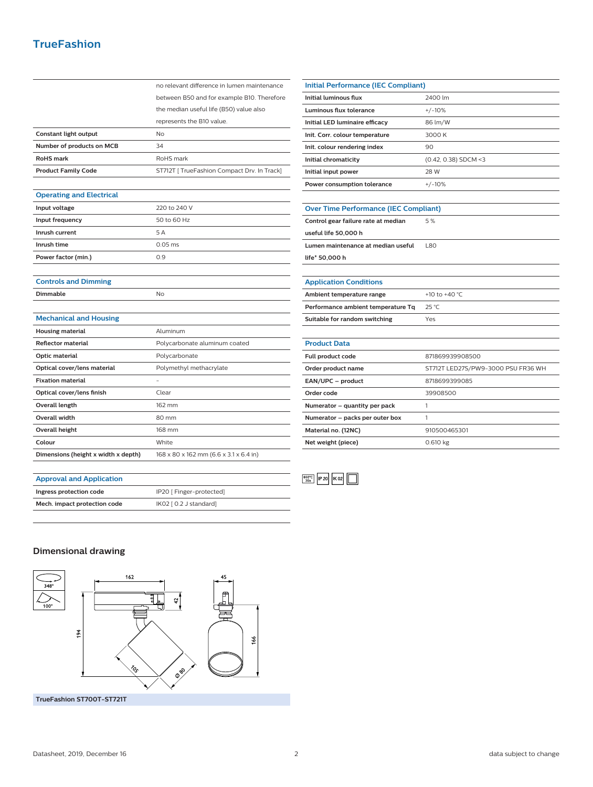# **TrueFashion**

|                                     | no relevant difference in lumen maintenance |
|-------------------------------------|---------------------------------------------|
|                                     | between B50 and for example B10. Therefore  |
|                                     | the median useful life (B50) value also     |
|                                     | represents the B10 value.                   |
| Constant light output               | No                                          |
| Number of products on MCB           | 34                                          |
| <b>RoHS</b> mark                    | RoHS mark                                   |
| <b>Product Family Code</b>          | ST712T   TrueFashion Compact Drv. In Track] |
|                                     |                                             |
| <b>Operating and Electrical</b>     |                                             |
| Input voltage                       | 220 to 240 V                                |
| Input frequency                     | 50 to 60 Hz                                 |
| Inrush current                      | 5A                                          |
| Inrush time                         | $0.05$ ms                                   |
| Power factor (min.)                 | 0.9                                         |
|                                     |                                             |
| <b>Controls and Dimming</b>         |                                             |
| Dimmable                            | No                                          |
|                                     |                                             |
| <b>Mechanical and Housing</b>       |                                             |
| <b>Housing material</b>             | Aluminum                                    |
| <b>Reflector material</b>           | Polycarbonate aluminum coated               |
| Optic material                      | Polycarbonate                               |
| Optical cover/lens material         | Polymethyl methacrylate                     |
| <b>Fixation material</b>            |                                             |
| Optical cover/lens finish           | Clear                                       |
| <b>Overall length</b>               | 162 mm                                      |
| Overall width                       | 80 mm                                       |
| <b>Overall height</b>               | 168 mm                                      |
| Colour                              | White                                       |
| Dimensions (height x width x depth) | 168 x 80 x 162 mm (6.6 x 3.1 x 6.4 in)      |
|                                     |                                             |

| Initial Performance (IEC Compliant)          |                        |  |
|----------------------------------------------|------------------------|--|
| <b>Initial luminous flux</b>                 | 2400 lm                |  |
| <b>Luminous flux tolerance</b>               | $+/-10%$               |  |
| Initial LED luminaire efficacy               | 86 lm/W                |  |
| Init. Corr. colour temperature               | 3000 K                 |  |
| Init. colour rendering index                 | 90                     |  |
| Initial chromaticity                         | $(0.42, 0.38)$ SDCM <3 |  |
| Initial input power                          | 28 W                   |  |
| Power consumption tolerance                  | $+/-10%$               |  |
|                                              |                        |  |
| <b>Over Time Performance (IEC Compliant)</b> |                        |  |
| Control gear failure rate at median          | 5 %                    |  |
| useful life 50,000 h                         |                        |  |
| Lumen maintenance at median useful           | <b>L80</b>             |  |
| life* 50,000 h                               |                        |  |
|                                              |                        |  |
| <b>Application Conditions</b>                |                        |  |

| Ambient temperature range          | +10 to +40 $^{\circ}$ C            |
|------------------------------------|------------------------------------|
| Performance ambient temperature Tq | $25^{\circ}$ C                     |
| Suitable for random switching      | Yes                                |
|                                    |                                    |
| <b>Product Data</b>                |                                    |
| Full product code                  | 871869939908500                    |
| Order product name                 | ST712T LED27S/PW9-3000 PSU FR36 WH |
| EAN/UPC - product                  | 8718699399085                      |
| Order code                         | 39908500                           |
| Numerator – quantity per pack      | 1                                  |
| Numerator - packs per outer box    | 1                                  |
| Material no. (12NC)                | 910500465301                       |
| Net weight (piece)                 | 0.610 kg                           |



### **Approval and Application**

**Ingress protection code** IP20 [ Finger-protected] **Mech. impact protection code** IK02 [ 0.2 J standard]

### **Dimensional drawing**